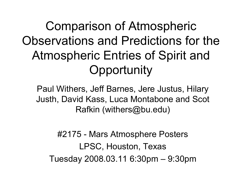Comparison of Atmospheric Observations and Predictions for the Atmospheric Entries of Spirit and **Opportunity** 

Paul Withers, Jeff Barnes, Jere Justus, Hilary Justh, David Kass, Luca Montabone and Scot Rafkin (withers@bu.edu)

#2175 - Mars Atmosphere Posters LPSC, Houston, Texas Tuesday 2008.03.11 6:30pm – 9:30pm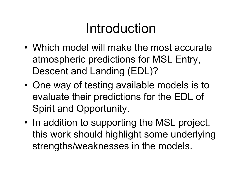### Introduction

- Which model will make the most accurate atmospheric predictions for MSL Entry, Descent and Landing (EDL)?
- • One way of testing available models is to evaluate their predictions for the EDL of Spirit and Opportunity.
- • In addition to supporting the MSL project, this work should highlight some underlying strengths/weaknesses in the models.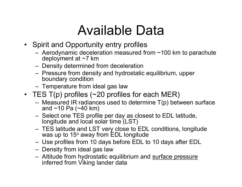## Available Data

- Spirit and Opportunity entry profiles
	- Aerodynamic deceleration measured from ~100 km to parachute deployment at ~7 km
	- Density determined from deceleration
	- Pressure from density and hydrostatic equilibrium, upper boundary condition
	- Temperature from ideal gas law
- TES T(p) profiles (~20 profiles for each MER)
	- Measured IR radiances used to determine T(p) between surface and  $~10$  Pa ( $~40$  km)
	- Select one TES profile per day as closest to EDL latitude, longitude and local solar time (LST)
	- TES latitude and LST very close to EDL conditions, longitude was up to 15º away from EDL longitude
	- Use profiles from 10 days before EDL to 10 days after EDL
	- Density from ideal gas law
	- Altitude from hydrostatic equilibrium and surface pressure inferred from Viking lander data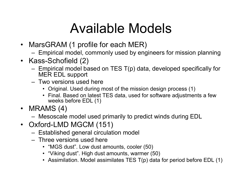# Available Models

- MarsGRAM (1 profile for each MER)
	- Empirical model, commonly used by engineers for mission planning
- Kass-Schofield (2)
	- Empirical model based on TES T(p) data, developed specifically for MER EDL support
	- Two versions used here
		- Original. Used during most of the mission design process (1)
		- Final. Based on latest TES data, used for software adjustments a few weeks before EDL (1)
- MRAMS (4)
	- Mesoscale model used primarily to predict winds during EDL
- Oxford-LMD MGCM (151)
	- Established general circulation model
	- Three versions used here
		- "MGS dust". Low dust amounts, cooler (50)
		- "Viking dust". High dust amounts, warmer (50)
		- Assimilation. Model assimilates TES T(p) data for period before EDL (1)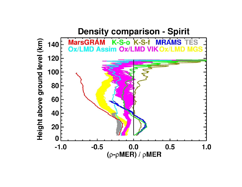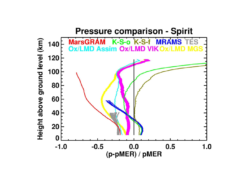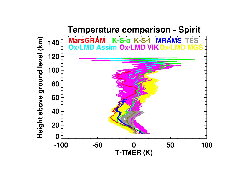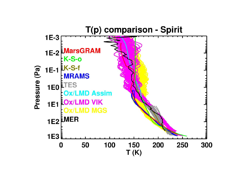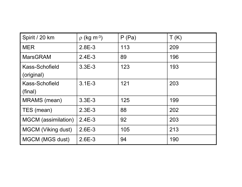| Spirit / 20 km               | $p$ (kg m <sup>-3</sup> ) | P(Pa) | T(K) |
|------------------------------|---------------------------|-------|------|
| <b>MER</b>                   | $2.8E-3$                  | 113   | 209  |
| <b>MarsGRAM</b>              | $2.4E-3$                  | 89    | 196  |
| Kass-Schofield<br>(original) | $3.3E-3$                  | 123   | 193  |
| Kass-Schofield<br>(final)    | $3.1E-3$                  | 121   | 203  |
| MRAMS (mean)                 | $3.3E-3$                  | 125   | 199  |
| TES (mean)                   | $2.3E-3$                  | 88    | 202  |
| <b>MGCM</b> (assimilation)   | $2.4E-3$                  | 92    | 203  |
| <b>MGCM (Viking dust)</b>    | $2.6E-3$                  | 105   | 213  |
| MGCM (MGS dust)              | $2.6E-3$                  | 94    | 190  |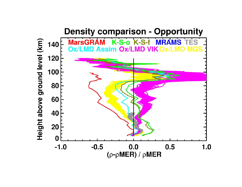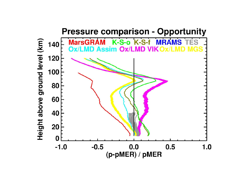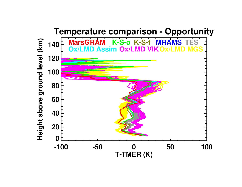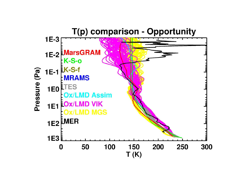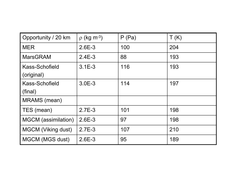| Opportunity / 20 km          | $p$ (kg m <sup>-3</sup> ) | P(Pa) | T(K) |
|------------------------------|---------------------------|-------|------|
| <b>MER</b>                   | $2.6E-3$                  | 100   | 204  |
| <b>MarsGRAM</b>              | $2.4E-3$                  | 88    | 193  |
| Kass-Schofield<br>(original) | $3.1E-3$                  | 116   | 193  |
| Kass-Schofield<br>(final)    | $3.0E-3$                  | 114   | 197  |
| <b>MRAMS</b> (mean)          |                           |       |      |
| TES (mean)                   | $2.7E-3$                  | 101   | 198  |
| <b>MGCM</b> (assimilation)   | $2.6E-3$                  | 97    | 198  |
| <b>MGCM (Viking dust)</b>    | $2.7E-3$                  | 107   | 210  |
| MGCM (MGS dust)              | $2.6E-3$                  | 95    | 189  |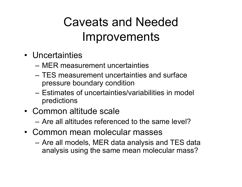#### Caveats and Needed Improvements

- Uncertainties
	- MER measurement uncertainties
	- TES measurement uncertainties and surface pressure boundary condition
	- Estimates of uncertainties/variabilities in model predictions
- Common altitude scale
	- Are all altitudes referenced to the same level?
- Common mean molecular masses
	- Are all models, MER data analysis and TES data analysis using the same mean molecular mass?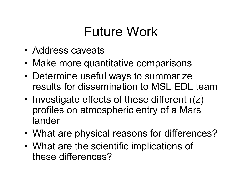# Future Work

- Address caveats
- Make more quantitative comparisons
- • Determine useful ways to summarize results for dissemination to MSL EDL team
- • Investigate effects of these different r(z) profiles on atmospheric entry of a Mars lander
- •What are physical reasons for differences?
- • What are the scientific implications of these differences?